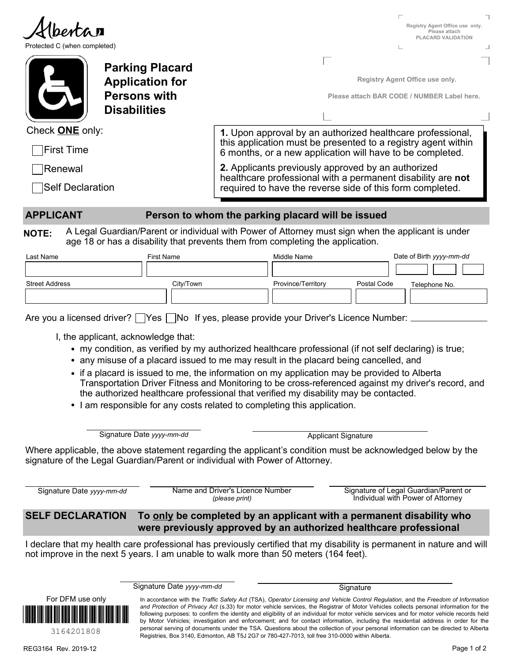|                                                                                        |                                                                                                                                                                                                                |                                                    |                                                                                                                                                                                                                                                                                 |                            | Registry Agent Office use only.<br>Please attach<br>PLACARD VALIDATION     |  |
|----------------------------------------------------------------------------------------|----------------------------------------------------------------------------------------------------------------------------------------------------------------------------------------------------------------|----------------------------------------------------|---------------------------------------------------------------------------------------------------------------------------------------------------------------------------------------------------------------------------------------------------------------------------------|----------------------------|----------------------------------------------------------------------------|--|
| Protected C (when completed)                                                           |                                                                                                                                                                                                                |                                                    |                                                                                                                                                                                                                                                                                 |                            |                                                                            |  |
|                                                                                        | <b>Parking Placard</b>                                                                                                                                                                                         |                                                    |                                                                                                                                                                                                                                                                                 |                            |                                                                            |  |
|                                                                                        | <b>Application for</b>                                                                                                                                                                                         |                                                    |                                                                                                                                                                                                                                                                                 |                            | Registry Agent Office use only.                                            |  |
|                                                                                        | <b>Persons with</b><br><b>Disabilities</b>                                                                                                                                                                     |                                                    |                                                                                                                                                                                                                                                                                 |                            | Please attach BAR CODE / NUMBER Label here.                                |  |
|                                                                                        |                                                                                                                                                                                                                |                                                    |                                                                                                                                                                                                                                                                                 |                            |                                                                            |  |
| Check <b>ONE</b> only:                                                                 |                                                                                                                                                                                                                |                                                    | 1. Upon approval by an authorized healthcare professional,<br>this application must be presented to a registry agent within                                                                                                                                                     |                            |                                                                            |  |
| ∏First Time                                                                            |                                                                                                                                                                                                                |                                                    | 6 months, or a new application will have to be completed.                                                                                                                                                                                                                       |                            |                                                                            |  |
| Renewal                                                                                |                                                                                                                                                                                                                |                                                    | 2. Applicants previously approved by an authorized<br>healthcare professional with a permanent disability are not                                                                                                                                                               |                            |                                                                            |  |
| │Self Declaration                                                                      |                                                                                                                                                                                                                |                                                    | required to have the reverse side of this form completed.                                                                                                                                                                                                                       |                            |                                                                            |  |
| <b>APPLICANT</b>                                                                       |                                                                                                                                                                                                                |                                                    | Person to whom the parking placard will be issued                                                                                                                                                                                                                               |                            |                                                                            |  |
| <b>NOTE:</b>                                                                           | A Legal Guardian/Parent or individual with Power of Attorney must sign when the applicant is under<br>age 18 or has a disability that prevents them from completing the application.                           |                                                    |                                                                                                                                                                                                                                                                                 |                            |                                                                            |  |
| Last Name                                                                              | First Name                                                                                                                                                                                                     |                                                    | Middle Name                                                                                                                                                                                                                                                                     |                            | Date of Birth yyyy-mm-dd                                                   |  |
|                                                                                        |                                                                                                                                                                                                                |                                                    |                                                                                                                                                                                                                                                                                 |                            |                                                                            |  |
| <b>Street Address</b>                                                                  | City/Town                                                                                                                                                                                                      |                                                    | Province/Territory                                                                                                                                                                                                                                                              | Postal Code                | Telephone No.                                                              |  |
|                                                                                        |                                                                                                                                                                                                                |                                                    |                                                                                                                                                                                                                                                                                 |                            |                                                                            |  |
|                                                                                        |                                                                                                                                                                                                                |                                                    |                                                                                                                                                                                                                                                                                 |                            |                                                                            |  |
| Are you a licensed driver? Ves No If yes, please provide your Driver's Licence Number: |                                                                                                                                                                                                                |                                                    |                                                                                                                                                                                                                                                                                 |                            |                                                                            |  |
|                                                                                        | I, the applicant, acknowledge that:                                                                                                                                                                            |                                                    |                                                                                                                                                                                                                                                                                 |                            |                                                                            |  |
|                                                                                        | • my condition, as verified by my authorized healthcare professional (if not self declaring) is true;                                                                                                          |                                                    |                                                                                                                                                                                                                                                                                 |                            |                                                                            |  |
|                                                                                        | • any misuse of a placard issued to me may result in the placard being cancelled, and                                                                                                                          |                                                    |                                                                                                                                                                                                                                                                                 |                            |                                                                            |  |
|                                                                                        | • if a placard is issued to me, the information on my application may be provided to Alberta<br>Transportation Driver Fitness and Monitoring to be cross-referenced against my driver's record, and            |                                                    |                                                                                                                                                                                                                                                                                 |                            |                                                                            |  |
|                                                                                        | the authorized healthcare professional that verified my disability may be contacted.                                                                                                                           |                                                    |                                                                                                                                                                                                                                                                                 |                            |                                                                            |  |
|                                                                                        | • I am responsible for any costs related to completing this application.                                                                                                                                       |                                                    |                                                                                                                                                                                                                                                                                 |                            |                                                                            |  |
|                                                                                        | Signature Date yyyy-mm-dd                                                                                                                                                                                      |                                                    |                                                                                                                                                                                                                                                                                 | <b>Applicant Signature</b> |                                                                            |  |
|                                                                                        | Where applicable, the above statement regarding the applicant's condition must be acknowledged below by the                                                                                                    |                                                    |                                                                                                                                                                                                                                                                                 |                            |                                                                            |  |
|                                                                                        | signature of the Legal Guardian/Parent or individual with Power of Attorney.                                                                                                                                   |                                                    |                                                                                                                                                                                                                                                                                 |                            |                                                                            |  |
| Signature Date yyyy-mm-dd                                                              |                                                                                                                                                                                                                | Name and Driver's Licence Number<br>(please print) |                                                                                                                                                                                                                                                                                 |                            | Signature of Legal Guardian/Parent or<br>Individual with Power of Attorney |  |
| <b>SELF DECLARATION</b>                                                                |                                                                                                                                                                                                                |                                                    | To only be completed by an applicant with a permanent disability who<br>were previously approved by an authorized healthcare professional                                                                                                                                       |                            |                                                                            |  |
|                                                                                        | I declare that my health care professional has previously certified that my disability is permanent in nature and will<br>not improve in the next 5 years. I am unable to walk more than 50 meters (164 feet). |                                                    |                                                                                                                                                                                                                                                                                 |                            |                                                                            |  |
|                                                                                        |                                                                                                                                                                                                                |                                                    |                                                                                                                                                                                                                                                                                 |                            |                                                                            |  |
|                                                                                        | Signature Date yyyy-mm-dd                                                                                                                                                                                      |                                                    |                                                                                                                                                                                                                                                                                 | Signature                  |                                                                            |  |
| For DFM use only                                                                       |                                                                                                                                                                                                                |                                                    | In accordance with the Traffic Safety Act (TSA), Operator Licensing and Vehicle Control Regulation, and the Freedom of Information<br>and Protection of Privacy Act (s.33) for motor vehicle services, the Registrar of Motor Vehicles collects personal information for the    |                            |                                                                            |  |
|                                                                                        |                                                                                                                                                                                                                |                                                    | following purposes: to confirm the identity and eligibility of an individual for motor vehicle services and for motor vehicle records held<br>by Motor Vehicles; investigation and enforcement; and for contact information, including the residential address in order for the |                            |                                                                            |  |
| 3164201808                                                                             |                                                                                                                                                                                                                |                                                    | personal serving of documents under the TSA. Questions about the collection of your personal information can be directed to Alberta<br>Registries, Box 3140, Edmonton, AB T5J 2G7 or 780-427-7013, toll free 310-0000 within Alberta.                                           |                            |                                                                            |  |